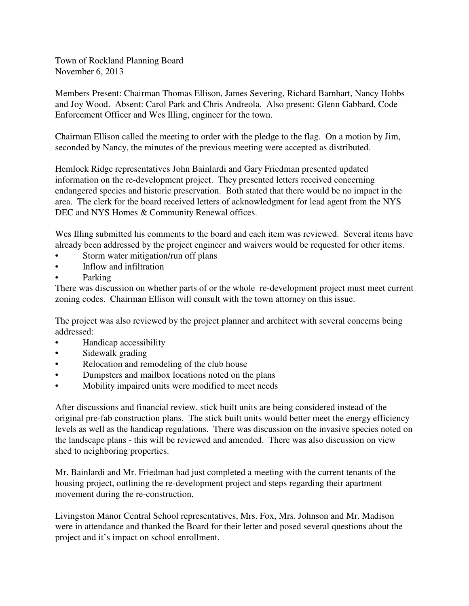Town of Rockland Planning Board November 6, 2013

Members Present: Chairman Thomas Ellison, James Severing, Richard Barnhart, Nancy Hobbs and Joy Wood. Absent: Carol Park and Chris Andreola. Also present: Glenn Gabbard, Code Enforcement Officer and Wes Illing, engineer for the town.

Chairman Ellison called the meeting to order with the pledge to the flag. On a motion by Jim, seconded by Nancy, the minutes of the previous meeting were accepted as distributed.

Hemlock Ridge representatives John Bainlardi and Gary Friedman presented updated information on the re-development project. They presented letters received concerning endangered species and historic preservation. Both stated that there would be no impact in the area. The clerk for the board received letters of acknowledgment for lead agent from the NYS DEC and NYS Homes & Community Renewal offices.

Wes Illing submitted his comments to the board and each item was reviewed. Several items have already been addressed by the project engineer and waivers would be requested for other items.

- Storm water mitigation/run off plans
- Inflow and infiltration
- **Parking**

There was discussion on whether parts of or the whole re-development project must meet current zoning codes. Chairman Ellison will consult with the town attorney on this issue.

The project was also reviewed by the project planner and architect with several concerns being addressed:

- Handicap accessibility
- Sidewalk grading
- Relocation and remodeling of the club house
- Dumpsters and mailbox locations noted on the plans
- Mobility impaired units were modified to meet needs

After discussions and financial review, stick built units are being considered instead of the original pre-fab construction plans. The stick built units would better meet the energy efficiency levels as well as the handicap regulations. There was discussion on the invasive species noted on the landscape plans - this will be reviewed and amended. There was also discussion on view shed to neighboring properties.

Mr. Bainlardi and Mr. Friedman had just completed a meeting with the current tenants of the housing project, outlining the re-development project and steps regarding their apartment movement during the re-construction.

Livingston Manor Central School representatives, Mrs. Fox, Mrs. Johnson and Mr. Madison were in attendance and thanked the Board for their letter and posed several questions about the project and it's impact on school enrollment.